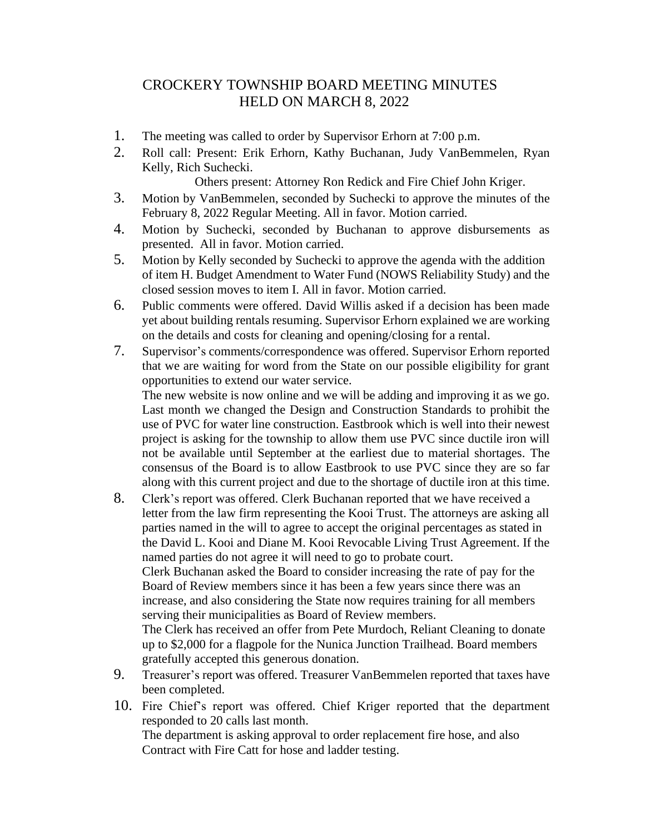## CROCKERY TOWNSHIP BOARD MEETING MINUTES HELD ON MARCH 8, 2022

- 1. The meeting was called to order by Supervisor Erhorn at 7:00 p.m.
- 2. Roll call: Present: Erik Erhorn, Kathy Buchanan, Judy VanBemmelen, Ryan Kelly, Rich Suchecki.

Others present: Attorney Ron Redick and Fire Chief John Kriger.

- 3. Motion by VanBemmelen, seconded by Suchecki to approve the minutes of the February 8, 2022 Regular Meeting. All in favor. Motion carried.
- 4. Motion by Suchecki, seconded by Buchanan to approve disbursements as presented. All in favor. Motion carried.
- 5. Motion by Kelly seconded by Suchecki to approve the agenda with the addition of item H. Budget Amendment to Water Fund (NOWS Reliability Study) and the closed session moves to item I. All in favor. Motion carried.
- 6. Public comments were offered. David Willis asked if a decision has been made yet about building rentals resuming. Supervisor Erhorn explained we are working on the details and costs for cleaning and opening/closing for a rental.
- 7. Supervisor's comments/correspondence was offered. Supervisor Erhorn reported that we are waiting for word from the State on our possible eligibility for grant opportunities to extend our water service.

The new website is now online and we will be adding and improving it as we go. Last month we changed the Design and Construction Standards to prohibit the use of PVC for water line construction. Eastbrook which is well into their newest project is asking for the township to allow them use PVC since ductile iron will not be available until September at the earliest due to material shortages. The consensus of the Board is to allow Eastbrook to use PVC since they are so far along with this current project and due to the shortage of ductile iron at this time.

- 8. Clerk's report was offered. Clerk Buchanan reported that we have received a letter from the law firm representing the Kooi Trust. The attorneys are asking all parties named in the will to agree to accept the original percentages as stated in the David L. Kooi and Diane M. Kooi Revocable Living Trust Agreement. If the named parties do not agree it will need to go to probate court. Clerk Buchanan asked the Board to consider increasing the rate of pay for the Board of Review members since it has been a few years since there was an increase, and also considering the State now requires training for all members serving their municipalities as Board of Review members. The Clerk has received an offer from Pete Murdoch, Reliant Cleaning to donate up to \$2,000 for a flagpole for the Nunica Junction Trailhead. Board members gratefully accepted this generous donation.
- 9. Treasurer's report was offered. Treasurer VanBemmelen reported that taxes have been completed.
- 10. Fire Chief's report was offered. Chief Kriger reported that the department responded to 20 calls last month. The department is asking approval to order replacement fire hose, and also Contract with Fire Catt for hose and ladder testing.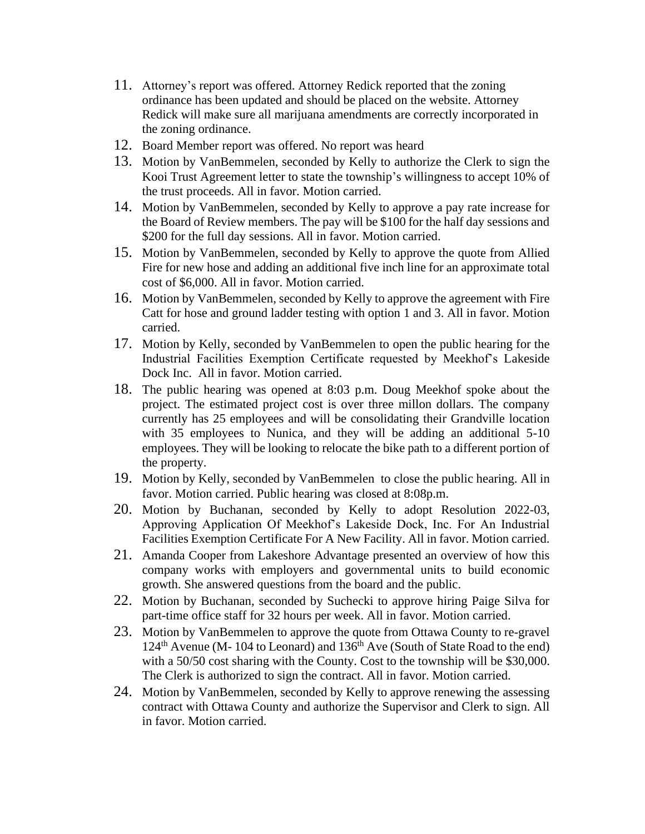- 11. Attorney's report was offered. Attorney Redick reported that the zoning ordinance has been updated and should be placed on the website. Attorney Redick will make sure all marijuana amendments are correctly incorporated in the zoning ordinance.
- 12. Board Member report was offered. No report was heard
- 13. Motion by VanBemmelen, seconded by Kelly to authorize the Clerk to sign the Kooi Trust Agreement letter to state the township's willingness to accept 10% of the trust proceeds. All in favor. Motion carried.
- 14. Motion by VanBemmelen, seconded by Kelly to approve a pay rate increase for the Board of Review members. The pay will be \$100 for the half day sessions and \$200 for the full day sessions. All in favor. Motion carried.
- 15. Motion by VanBemmelen, seconded by Kelly to approve the quote from Allied Fire for new hose and adding an additional five inch line for an approximate total cost of \$6,000. All in favor. Motion carried.
- 16. Motion by VanBemmelen, seconded by Kelly to approve the agreement with Fire Catt for hose and ground ladder testing with option 1 and 3. All in favor. Motion carried.
- 17. Motion by Kelly, seconded by VanBemmelen to open the public hearing for the Industrial Facilities Exemption Certificate requested by Meekhof's Lakeside Dock Inc. All in favor. Motion carried.
- 18. The public hearing was opened at 8:03 p.m. Doug Meekhof spoke about the project. The estimated project cost is over three millon dollars. The company currently has 25 employees and will be consolidating their Grandville location with 35 employees to Nunica, and they will be adding an additional 5-10 employees. They will be looking to relocate the bike path to a different portion of the property.
- 19. Motion by Kelly, seconded by VanBemmelen to close the public hearing. All in favor. Motion carried. Public hearing was closed at 8:08p.m.
- 20. Motion by Buchanan, seconded by Kelly to adopt Resolution 2022-03, Approving Application Of Meekhof's Lakeside Dock, Inc. For An Industrial Facilities Exemption Certificate For A New Facility. All in favor. Motion carried.
- 21. Amanda Cooper from Lakeshore Advantage presented an overview of how this company works with employers and governmental units to build economic growth. She answered questions from the board and the public.
- 22. Motion by Buchanan, seconded by Suchecki to approve hiring Paige Silva for part-time office staff for 32 hours per week. All in favor. Motion carried.
- 23. Motion by VanBemmelen to approve the quote from Ottawa County to re-gravel 124<sup>th</sup> Avenue (M- 104 to Leonard) and 136<sup>th</sup> Ave (South of State Road to the end) with a 50/50 cost sharing with the County. Cost to the township will be \$30,000. The Clerk is authorized to sign the contract. All in favor. Motion carried.
- 24. Motion by VanBemmelen, seconded by Kelly to approve renewing the assessing contract with Ottawa County and authorize the Supervisor and Clerk to sign. All in favor. Motion carried.